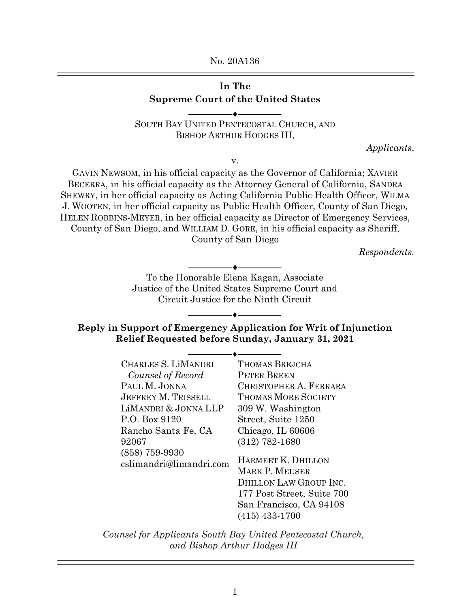No. 20A136

## **In The Supreme Court of the United States**

SOUTH BAY UNITED PENTECOSTAL CHURCH, AND BISHOP ARTHUR HODGES III,

 $\bullet$   $-$ 

v.

*Applicants*,

GAVIN NEWSOM, in his official capacity as the Governor of California; XAVIER BECERRA, in his official capacity as the Attorney General of California, SANDRA SHEWRY, in her official capacity as Acting California Public Health Officer, WILMA J. WOOTEN, in her official capacity as Public Health Officer, County of San Diego, HELEN ROBBINS-MEYER, in her official capacity as Director of Emergency Services, County of San Diego, and WILLIAM D. GORE, in his official capacity as Sheriff, County of San Diego

*Respondents.* 

 $\overline{\phantom{a}}$ To the Honorable Elena Kagan, Associate Justice of the United States Supreme Court and Circuit Justice for the Ninth Circuit

**Reply in Support of Emergency Application for Writ of Injunction Relief Requested before Sunday, January 31, 2021**

| CHARLES S. LIMANDRI        | <b>THOMAS BREJCHA</b>      |
|----------------------------|----------------------------|
| Counsel of Record          | <b>PETER BREEN</b>         |
| PAUL M. JONNA              | CHRISTOPHER A. FERRARA     |
| <b>JEFFREY M. TRISSELL</b> | <b>THOMAS MORE SOCIETY</b> |
| LIMANDRI & JONNA LLP       | 309 W. Washington          |
| P.O. Box 9120              | Street, Suite 1250         |
| Rancho Santa Fe, CA        | Chicago, IL 60606          |
| 92067                      | $(312)$ 782-1680           |
| $(858)$ 759-9930           |                            |
| cslimandri@limandri.com    | HARMEET K. DHILLON         |
|                            | <b>MARK P. MEUSER</b>      |
|                            | DHILLON LAW GROUP INC.     |
|                            | 177 Post Street, Suite 700 |
|                            | San Francisco, CA 94108    |
|                            | $(415)$ 433-1700           |

*Counsel for Applicants South Bay United Pentecostal Church, and Bishop Arthur Hodges III*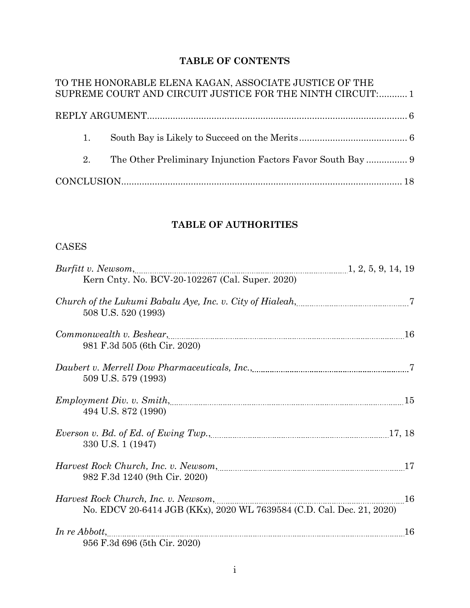# **TABLE OF CONTENTS**

|    | TO THE HONORABLE ELENA KAGAN, ASSOCIATE JUSTICE OF THE     |  |
|----|------------------------------------------------------------|--|
|    | SUPREME COURT AND CIRCUIT JUSTICE FOR THE NINTH CIRCUIT: 1 |  |
|    |                                                            |  |
|    |                                                            |  |
| 1. |                                                            |  |
|    |                                                            |  |
| 2. |                                                            |  |
|    |                                                            |  |
|    |                                                            |  |

## **TABLE OF AUTHORITIES**

## CASES

| Kern Cnty. No. BCV-20-102267 (Cal. Super. 2020)                                                                                                                                                                                     |    |
|-------------------------------------------------------------------------------------------------------------------------------------------------------------------------------------------------------------------------------------|----|
| Church of the Lukumi Babalu Aye, Inc. v. City of Hialeah, [1001] 7                                                                                                                                                                  |    |
| 508 U.S. 520 (1993)                                                                                                                                                                                                                 |    |
| Commonwealth v. Beshear, <u>manual common communication</u> and the set of the set of the set of the set of the set of the set of the set of the set of the set of the set of the set of the set of the set of the set of the set o |    |
| 981 F.3d 505 (6th Cir. 2020)                                                                                                                                                                                                        |    |
|                                                                                                                                                                                                                                     |    |
| 509 U.S. 579 (1993)                                                                                                                                                                                                                 |    |
|                                                                                                                                                                                                                                     |    |
| 494 U.S. 872 (1990)                                                                                                                                                                                                                 |    |
| <i>Everson v. Bd. of Ed. of Ewing Twp.</i> , <u><i>manual content of the system of European and Severson v. Bd. of European and Twp.</i>, <i>18</i></u>                                                                             |    |
| 330 U.S. 1 (1947)                                                                                                                                                                                                                   |    |
|                                                                                                                                                                                                                                     |    |
| 982 F.3d 1240 (9th Cir. 2020)                                                                                                                                                                                                       |    |
| Harvest Rock Church, Inc. v. Newsom, 2000, 2000, 2000, 2000, 2000, 2000, 2000, 2000, 2000, 2000, 2000, 2000, 2000, 2000, 2000, 2000, 2000, 2000, 2000, 2000, 2000, 2000, 2000, 2000, 2000, 2000, 2000, 2000, 2000, 2000, 2000,      |    |
| No. EDCV 20-6414 JGB (KKx), 2020 WL 7639584 (C.D. Cal. Dec. 21, 2020)                                                                                                                                                               |    |
|                                                                                                                                                                                                                                     | 16 |
| 956 F.3d 696 (5th Cir. 2020)                                                                                                                                                                                                        |    |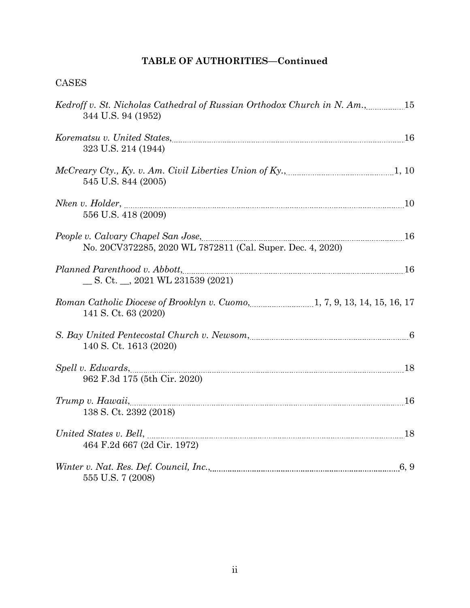# **TABLE OF AUTHORITIES—Continued**

## CASES

| Kedroff v. St. Nicholas Cathedral of Russian Orthodox Church in N. Am., 15<br>344 U.S. 94 (1952)                                                                                                                                                           |  |
|------------------------------------------------------------------------------------------------------------------------------------------------------------------------------------------------------------------------------------------------------------|--|
| Korematsu v. United States, <u>manual component of the states</u> and the states of the states of the states of the states of the states of the states of the states of the states of the states of the states of the states of the<br>323 U.S. 214 (1944) |  |
| McCreary Cty., Ky. v. Am. Civil Liberties Union of Ky., 10 marshall 1, 10<br>545 U.S. 844 (2005)                                                                                                                                                           |  |
| 556 U.S. 418 (2009)                                                                                                                                                                                                                                        |  |
| People v. Calvary Chapel San Jose, <u>manual members of the superior of</u> 16<br>No. 20CV372285, 2020 WL 7872811 (Cal. Super. Dec. 4, 2020)                                                                                                               |  |
| Planned Parenthood v. Abbott, 16<br>$\_\_$ S. Ct. $\_\_$ , 2021 WL 231539 (2021)                                                                                                                                                                           |  |
| Roman Catholic Diocese of Brooklyn v. Cuomo, 1, 7, 9, 13, 14, 15, 16, 17<br>141 S. Ct. 63 (2020)                                                                                                                                                           |  |
| S. Bay United Pentecostal Church v. Newsom, <u>manuity experimental</u> manuity of 6<br>140 S. Ct. 1613 (2020)                                                                                                                                             |  |
| Spell v. Edwards, 18<br>962 F.3d 175 (5th Cir. 2020)                                                                                                                                                                                                       |  |
| Trump v. Hawaii, 16<br>138 S. Ct. 2392 (2018)                                                                                                                                                                                                              |  |
| United States v. Bell, <u>manual communications</u> and the states v. 18<br>464 F.2d 667 (2d Cir. 1972)                                                                                                                                                    |  |
| 555 U.S. 7 (2008)                                                                                                                                                                                                                                          |  |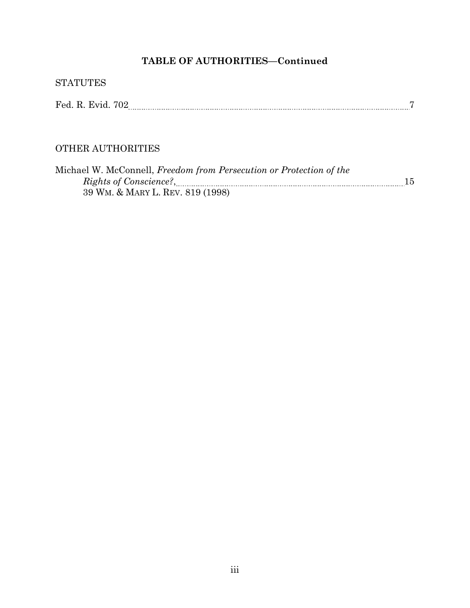# **TABLE OF AUTHORITIES—Continued**

| <b>STATUTES</b>                                                                                         |    |
|---------------------------------------------------------------------------------------------------------|----|
|                                                                                                         |    |
| <b>OTHER AUTHORITIES</b>                                                                                |    |
| Michael W. McConnell, Freedom from Persecution or Protection of the<br>39 WM. & MARY L. REV. 819 (1998) | 15 |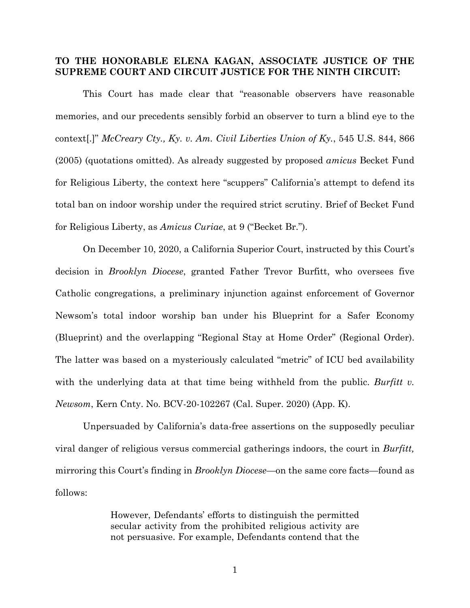### **TO THE HONORABLE ELENA KAGAN, ASSOCIATE JUSTICE OF THE SUPREME COURT AND CIRCUIT JUSTICE FOR THE NINTH CIRCUIT:**

This Court has made clear that "reasonable observers have reasonable memories, and our precedents sensibly forbid an observer to turn a blind eye to the context[.]" *McCreary Cty., Ky. v. Am. Civil Liberties Union of Ky.*, 545 U.S. 844, 866 (2005) (quotations omitted). As already suggested by proposed *amicus* Becket Fund for Religious Liberty, the context here "scuppers" California's attempt to defend its total ban on indoor worship under the required strict scrutiny. Brief of Becket Fund for Religious Liberty, as *Amicus Curiae*, at 9 ("Becket Br.").

On December 10, 2020, a California Superior Court, instructed by this Court's decision in *Brooklyn Diocese*, granted Father Trevor Burfitt, who oversees five Catholic congregations, a preliminary injunction against enforcement of Governor Newsom's total indoor worship ban under his Blueprint for a Safer Economy (Blueprint) and the overlapping "Regional Stay at Home Order" (Regional Order). The latter was based on a mysteriously calculated "metric" of ICU bed availability with the underlying data at that time being withheld from the public. *Burfitt v. Newsom*, Kern Cnty. No. BCV-20-102267 (Cal. Super. 2020) (App. K).

Unpersuaded by California's data-free assertions on the supposedly peculiar viral danger of religious versus commercial gatherings indoors, the court in *Burfitt,*  mirroring this Court's finding in *Brooklyn Diocese*—on the same core facts—found as follows:

> However, Defendants' efforts to distinguish the permitted secular activity from the prohibited religious activity are not persuasive. For example, Defendants contend that the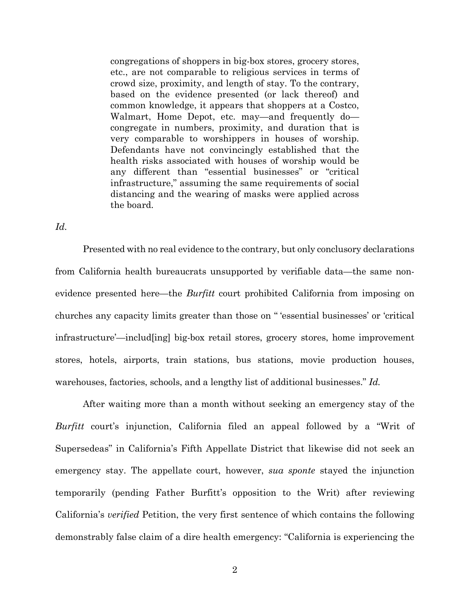congregations of shoppers in big-box stores, grocery stores, etc., are not comparable to religious services in terms of crowd size, proximity, and length of stay. To the contrary, based on the evidence presented (or lack thereof) and common knowledge, it appears that shoppers at a Costco, Walmart, Home Depot, etc. may—and frequently do congregate in numbers, proximity, and duration that is very comparable to worshippers in houses of worship. Defendants have not convincingly established that the health risks associated with houses of worship would be any different than "essential businesses" or "critical infrastructure," assuming the same requirements of social distancing and the wearing of masks were applied across the board.

*Id.*

Presented with no real evidence to the contrary, but only conclusory declarations from California health bureaucrats unsupported by verifiable data—the same nonevidence presented here—the *Burfitt* court prohibited California from imposing on churches any capacity limits greater than those on " 'essential businesses' or 'critical infrastructure'—includ[ing] big-box retail stores, grocery stores, home improvement stores, hotels, airports, train stations, bus stations, movie production houses, warehouses, factories, schools, and a lengthy list of additional businesses." *Id.*

After waiting more than a month without seeking an emergency stay of the *Burfitt* court's injunction, California filed an appeal followed by a "Writ of Supersedeas" in California's Fifth Appellate District that likewise did not seek an emergency stay. The appellate court, however, *sua sponte* stayed the injunction temporarily (pending Father Burfitt's opposition to the Writ) after reviewing California's *verified* Petition, the very first sentence of which contains the following demonstrably false claim of a dire health emergency: "California is experiencing the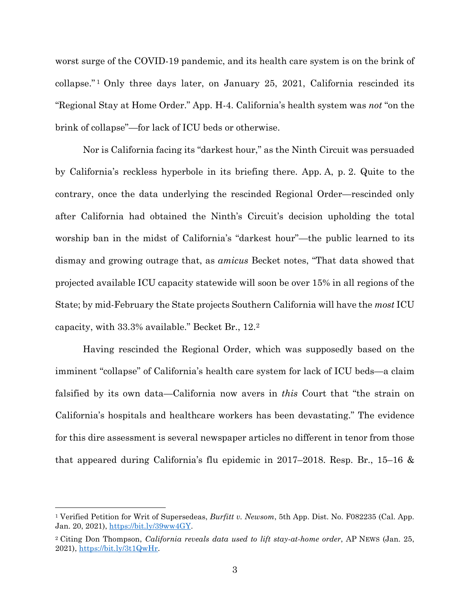worst surge of the COVID-19 pandemic, and its health care system is on the brink of collapse." [1](#page-6-0) Only three days later, on January 25, 2021, California rescinded its "Regional Stay at Home Order." App. H-4. California's health system was *not* "on the brink of collapse"—for lack of ICU beds or otherwise.

Nor is California facing its "darkest hour," as the Ninth Circuit was persuaded by California's reckless hyperbole in its briefing there. App. A, p. 2. Quite to the contrary, once the data underlying the rescinded Regional Order—rescinded only after California had obtained the Ninth's Circuit's decision upholding the total worship ban in the midst of California's "darkest hour"—the public learned to its dismay and growing outrage that, as *amicus* Becket notes, "That data showed that projected available ICU capacity statewide will soon be over 15% in all regions of the State; by mid-February the State projects Southern California will have the *most* ICU capacity, with 33.3% available." Becket Br., 12.[2](#page-6-1)

Having rescinded the Regional Order, which was supposedly based on the imminent "collapse" of California's health care system for lack of ICU beds—a claim falsified by its own data—California now avers in *this* Court that "the strain on California's hospitals and healthcare workers has been devastating." The evidence for this dire assessment is several newspaper articles no different in tenor from those that appeared during California's flu epidemic in 2017–2018. Resp. Br., 15–16 &

<span id="page-6-0"></span><sup>1</sup> Verified Petition for Writ of Supersedeas, *Burfitt v. Newsom*, 5th App. Dist. No. F082235 (Cal. App. Jan. 20, 2021), https://bit.ly/39ww4GY.

<span id="page-6-1"></span><sup>2</sup> Citing Don Thompson, *California reveals data used to lift stay-at-home order*, AP NEWS (Jan. 25, 2021), https://bit.ly/3t1QwHr.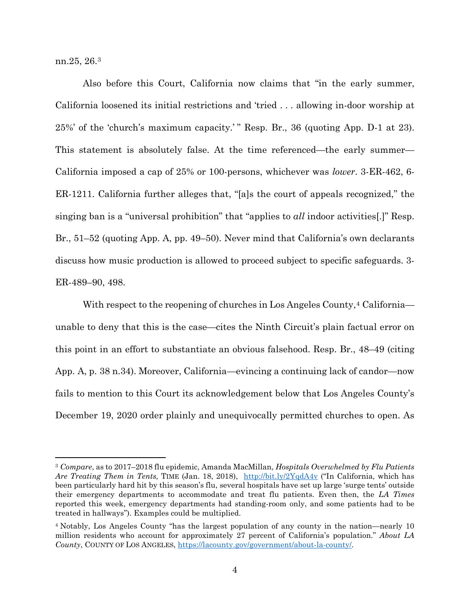nn.25, 26.[3](#page-7-0)

 $\overline{a}$ 

Also before this Court, California now claims that "in the early summer, California loosened its initial restrictions and 'tried . . . allowing in-door worship at 25%' of the 'church's maximum capacity.' " Resp. Br., 36 (quoting App. D-1 at 23). This statement is absolutely false. At the time referenced—the early summer— California imposed a cap of 25% or 100-persons, whichever was *lower*. 3-ER-462, 6- ER-1211. California further alleges that, "[a]s the court of appeals recognized," the singing ban is a "universal prohibition" that "applies to *all* indoor activities[.]" Resp. Br., 51–52 (quoting App. A, pp. 49–50). Never mind that California's own declarants discuss how music production is allowed to proceed subject to specific safeguards. 3- ER-489–90, 498.

With respect to the reopening of churches in Los Angeles County,<sup>[4](#page-7-1)</sup> California unable to deny that this is the case—cites the Ninth Circuit's plain factual error on this point in an effort to substantiate an obvious falsehood. Resp. Br., 48–49 (citing App. A, p. 38 n.34). Moreover, California—evincing a continuing lack of candor—now fails to mention to this Court its acknowledgement below that Los Angeles County's December 19, 2020 order plainly and unequivocally permitted churches to open. As

<span id="page-7-0"></span><sup>3</sup> *Compare*, as to 2017–2018 flu epidemic, Amanda MacMillan, *Hospitals Overwhelmed by Flu Patients Are Treating Them in Tents,* TIME (Jan. 18, 2018), http://bit.ly/2YqdA4v ("In California, which has been particularly hard hit by this season's flu, several hospitals have set up large 'surge tents' outside their emergency departments to accommodate and treat flu patients. Even then, the *LA Times* reported this week, emergency departments had standing-room only, and some patients had to be treated in hallways"). Examples could be multiplied.

<span id="page-7-1"></span><sup>4</sup> Notably, Los Angeles County "has the largest population of any county in the nation—nearly 10 million residents who account for approximately 27 percent of California's population." *About LA County*, COUNTY OF LOS ANGELES, https://lacounty.gov/government/about-la-county/.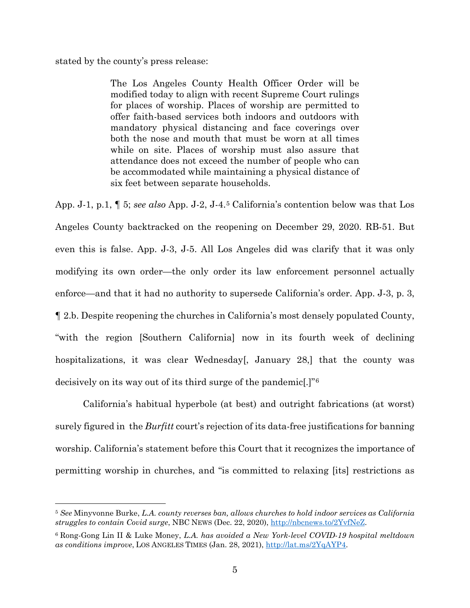stated by the county's press release:

<u>.</u>

The Los Angeles County Health Officer Order will be modified today to align with recent Supreme Court rulings for places of worship. Places of worship are permitted to offer faith-based services both indoors and outdoors with mandatory physical distancing and face coverings over both the nose and mouth that must be worn at all times while on site. Places of worship must also assure that attendance does not exceed the number of people who can be accommodated while maintaining a physical distance of six feet between separate households.

App. J-1, p.1, ¶ 5; *see also* App. J-2, J-4.[5](#page-8-0) California's contention below was that Los Angeles County backtracked on the reopening on December 29, 2020. RB-51. But even this is false. App. J-3, J-5. All Los Angeles did was clarify that it was only modifying its own order—the only order its law enforcement personnel actually enforce—and that it had no authority to supersede California's order. App. J-3, p. 3, ¶ 2.b. Despite reopening the churches in California's most densely populated County, "with the region [Southern California] now in its fourth week of declining hospitalizations, it was clear Wednesday[, January 28,] that the county was decisively on its way out of its third surge of the pandemic[.]"[6](#page-8-1)

California's habitual hyperbole (at best) and outright fabrications (at worst) surely figured in the *Burfitt* court's rejection of its data-free justifications for banning worship. California's statement before this Court that it recognizes the importance of permitting worship in churches, and "is committed to relaxing [its] restrictions as

<span id="page-8-0"></span><sup>5</sup> *See* Minyvonne Burke, *L.A. county reverses ban, allows churches to hold indoor services as California struggles to contain Covid surge*, NBC NEWS (Dec. 22, 2020), http://nbcnews.to/2YvfNeZ.

<span id="page-8-1"></span><sup>6</sup> Rong-Gong Lin II & Luke Money, *L.A. has avoided a New York-level COVID-19 hospital meltdown as conditions improve*, LOS ANGELES TIMES (Jan. 28, 2021), http://lat.ms/2YqAYP4.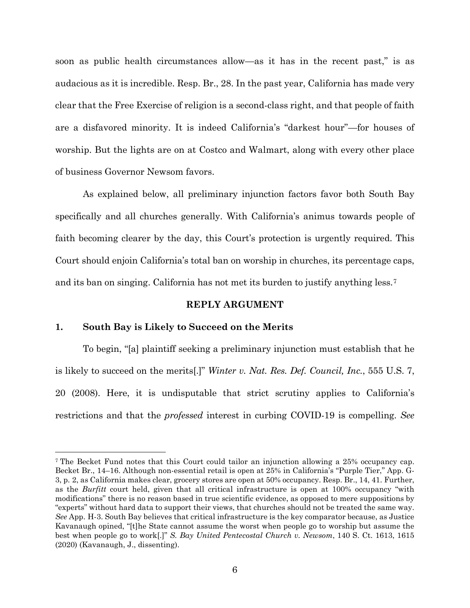soon as public health circumstances allow—as it has in the recent past," is as audacious as it is incredible. Resp. Br., 28. In the past year, California has made very clear that the Free Exercise of religion is a second-class right, and that people of faith are a disfavored minority. It is indeed California's "darkest hour"—for houses of worship. But the lights are on at Costco and Walmart, along with every other place of business Governor Newsom favors.

As explained below, all preliminary injunction factors favor both South Bay specifically and all churches generally. With California's animus towards people of faith becoming clearer by the day, this Court's protection is urgently required. This Court should enjoin California's total ban on worship in churches, its percentage caps, and its ban on singing. California has not met its burden to justify anything less.[7](#page-9-0)

#### **REPLY ARGUMENT**

#### **1. South Bay is Likely to Succeed on the Merits**

 $\overline{a}$ 

To begin, "[a] plaintiff seeking a preliminary injunction must establish that he is likely to succeed on the merits[.]" *Winter v. Nat. Res. Def. Council, Inc.*, 555 U.S. 7, 20 (2008). Here, it is undisputable that strict scrutiny applies to California's restrictions and that the *professed* interest in curbing COVID-19 is compelling. *See*

<span id="page-9-0"></span><sup>7</sup> The Becket Fund notes that this Court could tailor an injunction allowing a 25% occupancy cap. Becket Br., 14–16. Although non-essential retail is open at 25% in California's "Purple Tier," App. G-3, p. 2, as California makes clear, grocery stores are open at 50% occupancy. Resp. Br., 14, 41. Further, as the *Burfitt* court held, given that all critical infrastructure is open at 100% occupancy "with modifications" there is no reason based in true scientific evidence, as opposed to mere suppositions by "experts" without hard data to support their views, that churches should not be treated the same way. *See* App. H-3. South Bay believes that critical infrastructure is the key comparator because, as Justice Kavanaugh opined, "[t]he State cannot assume the worst when people go to worship but assume the best when people go to work[.]" *S. Bay United Pentecostal Church v. Newsom*, 140 S. Ct. 1613, 1615 (2020) (Kavanaugh, J., dissenting).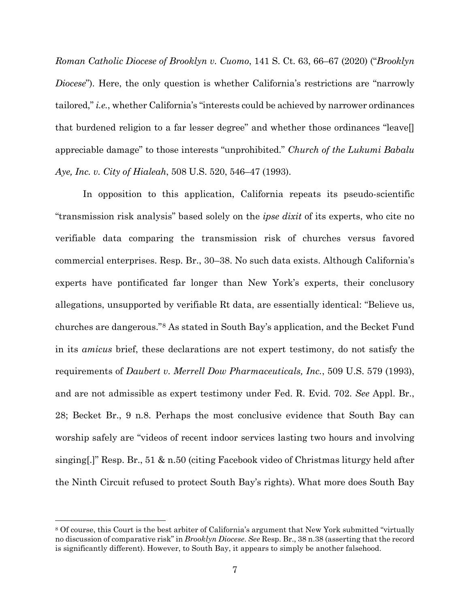*Roman Catholic Diocese of Brooklyn v. Cuomo*, 141 S. Ct. 63, 66–67 (2020) ("*Brooklyn Diocese*"). Here, the only question is whether California's restrictions are "narrowly tailored," *i.e.*, whether California's "interests could be achieved by narrower ordinances that burdened religion to a far lesser degree" and whether those ordinances "leave[] appreciable damage" to those interests "unprohibited." *Church of the Lukumi Babalu Aye, Inc. v. City of Hialeah*, 508 U.S. 520, 546–47 (1993).

In opposition to this application, California repeats its pseudo-scientific "transmission risk analysis" based solely on the *ipse dixit* of its experts, who cite no verifiable data comparing the transmission risk of churches versus favored commercial enterprises. Resp. Br., 30–38. No such data exists. Although California's experts have pontificated far longer than New York's experts, their conclusory allegations, unsupported by verifiable Rt data, are essentially identical: "Believe us, churches are dangerous."[8](#page-10-0) As stated in South Bay's application, and the Becket Fund in its *amicus* brief, these declarations are not expert testimony, do not satisfy the requirements of *Daubert v. Merrell Dow Pharmaceuticals, Inc.*, 509 U.S. 579 (1993), and are not admissible as expert testimony under Fed. R. Evid. 702. *See* Appl. Br., 28; Becket Br., 9 n.8. Perhaps the most conclusive evidence that South Bay can worship safely are "videos of recent indoor services lasting two hours and involving singing[.]" Resp. Br., 51 & n.50 (citing Facebook video of Christmas liturgy held after the Ninth Circuit refused to protect South Bay's rights). What more does South Bay

<span id="page-10-0"></span><sup>8</sup> Of course, this Court is the best arbiter of California's argument that New York submitted "virtually no discussion of comparative risk" in *Brooklyn Diocese*. *See* Resp. Br., 38 n.38 (asserting that the record is significantly different). However, to South Bay, it appears to simply be another falsehood.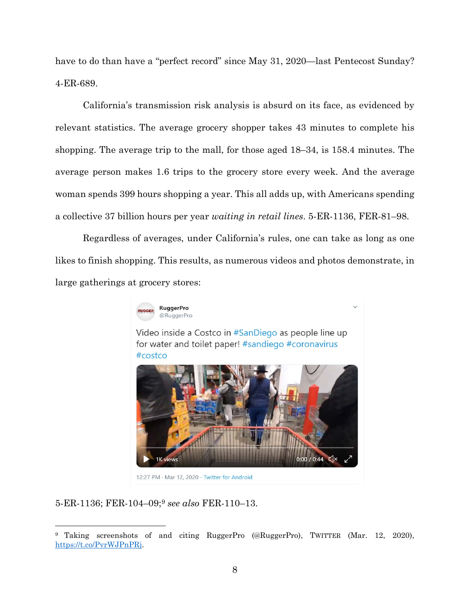have to do than have a "perfect record" since May 31, 2020—last Pentecost Sunday? 4-ER-689.

California's transmission risk analysis is absurd on its face, as evidenced by relevant statistics. The average grocery shopper takes 43 minutes to complete his shopping. The average trip to the mall, for those aged 18–34, is 158.4 minutes. The average person makes 1.6 trips to the grocery store every week. And the average woman spends 399 hours shopping a year. This all adds up, with Americans spending a collective 37 billion hours per year *waiting in retail lines*. 5-ER-1136, FER-81–98.

Regardless of averages, under California's rules, one can take as long as one likes to finish shopping. This results, as numerous videos and photos demonstrate, in large gatherings at grocery stores:



Video inside a Costco in #SanDiego as people line up for water and toilet paper! #sandiego #coronavirus #costco



5-ER-1136; FER-104–09;[9](#page-11-0) *see also* FER-110–13.

<span id="page-11-0"></span><sup>9</sup> Taking screenshots of and citing RuggerPro (@RuggerPro), TWITTER (Mar. 12, 2020), https://t.co/PvrWJPnPRj.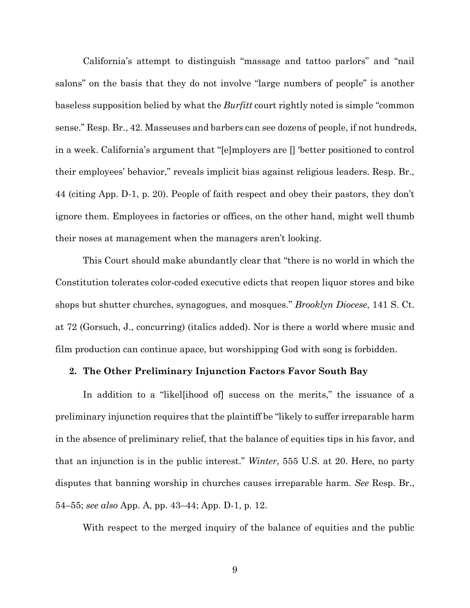California's attempt to distinguish "massage and tattoo parlors" and "nail salons" on the basis that they do not involve "large numbers of people" is another baseless supposition belied by what the *Burfitt* court rightly noted is simple "common sense." Resp. Br., 42. Masseuses and barbers can see dozens of people, if not hundreds, in a week. California's argument that "[e]mployers are [] 'better positioned to control their employees' behavior," reveals implicit bias against religious leaders. Resp. Br., 44 (citing App. D-1, p. 20). People of faith respect and obey their pastors, they don't ignore them. Employees in factories or offices, on the other hand, might well thumb their noses at management when the managers aren't looking.

This Court should make abundantly clear that "there is no world in which the Constitution tolerates color-coded executive edicts that reopen liquor stores and bike shops but shutter churches, synagogues, and mosques." *Brooklyn Diocese*, 141 S. Ct. at 72 (Gorsuch, J., concurring) (italics added). Nor is there a world where music and film production can continue apace, but worshipping God with song is forbidden.

### **2. The Other Preliminary Injunction Factors Favor South Bay**

In addition to a "likel[ihood of] success on the merits," the issuance of a preliminary injunction requires that the plaintiff be "likely to suffer irreparable harm in the absence of preliminary relief, that the balance of equities tips in his favor, and that an injunction is in the public interest." *Winter*, 555 U.S. at 20. Here, no party disputes that banning worship in churches causes irreparable harm. *See* Resp. Br., 54–55; *see also* App. A, pp. 43–44; App. D-1, p. 12.

With respect to the merged inquiry of the balance of equities and the public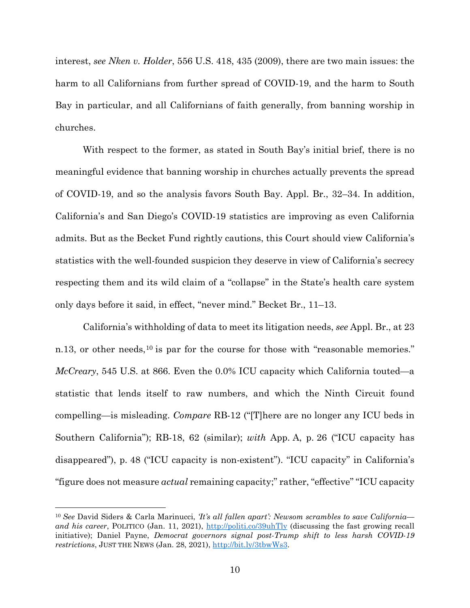interest, *see Nken v. Holder*, 556 U.S. 418, 435 (2009), there are two main issues: the harm to all Californians from further spread of COVID-19, and the harm to South Bay in particular, and all Californians of faith generally, from banning worship in churches.

With respect to the former, as stated in South Bay's initial brief, there is no meaningful evidence that banning worship in churches actually prevents the spread of COVID-19, and so the analysis favors South Bay. Appl. Br., 32–34. In addition, California's and San Diego's COVID-19 statistics are improving as even California admits. But as the Becket Fund rightly cautions, this Court should view California's statistics with the well-founded suspicion they deserve in view of California's secrecy respecting them and its wild claim of a "collapse" in the State's health care system only days before it said, in effect, "never mind." Becket Br., 11–13.

California's withholding of data to meet its litigation needs, *see* Appl. Br., at 23 n.13, or other needs,<sup>[10](#page-13-0)</sup> is par for the course for those with "reasonable memories." *McCreary*, 545 U.S. at 866. Even the 0.0% ICU capacity which California touted—a statistic that lends itself to raw numbers, and which the Ninth Circuit found compelling—is misleading. *Compare* RB-12 ("[T]here are no longer any ICU beds in Southern California"); RB-18, 62 (similar); *with* App. A, p. 26 ("ICU capacity has disappeared"), p. 48 ("ICU capacity is non-existent"). "ICU capacity" in California's "figure does not measure *actual* remaining capacity;" rather, "effective" "ICU capacity

<span id="page-13-0"></span><sup>10</sup> *See* David Siders & Carla Marinucci, *'It's all fallen apart': Newsom scrambles to save California and his career*, POLITICO (Jan. 11, 2021), http://politi.co/39uhTly (discussing the fast growing recall initiative); Daniel Payne, *Democrat governors signal post-Trump shift to less harsh COVID-19 restrictions*, JUST THE NEWS (Jan. 28, 2021), http://bit.ly/3tbwWs3.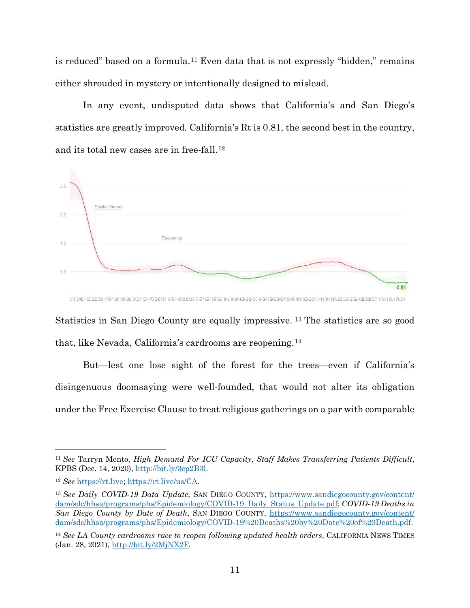is reduced" based on a formula.[11](#page-14-0) Even data that is not expressly "hidden," remains either shrouded in mystery or intentionally designed to mislead.

In any event, undisputed data shows that California's and San Diego's statistics are greatly improved. California's Rt is 0.81, the second best in the country, and its total new cases are in free-fall.[12](#page-14-1)



Statistics in San Diego County are equally impressive. [13](#page-14-2) The statistics are so good that, like Nevada, California's cardrooms are reopening.[14](#page-14-3)

But—lest one lose sight of the forest for the trees—even if California's disingenuous doomsaying were well-founded, that would not alter its obligation under the Free Exercise Clause to treat religious gatherings on a par with comparable

<span id="page-14-0"></span><sup>11</sup> *See* Tarryn Mento, *High Demand For ICU Capacity, Staff Makes Transferring Patients Difficult*, KPBS (Dec. 14, 2020), http://bit.ly/3cp2B3l.

<span id="page-14-1"></span><sup>12</sup> *See* https://rt.live; https://rt.live/us/CA.

<span id="page-14-2"></span><sup>&</sup>lt;sup>13</sup> See Daily COVID-19 Data Update, SAN DIEGO COUNTY, https://www.sandiegocounty.gov/content/ dam/sdc/hhsa/programs/phs/Epidemiology/COVID-19\_Daily\_Status\_Update.pdf; *COVID-19 Deaths in San Diego County by Date of Death*, SAN DIEGO COUNTY, https://www.sandiegocounty.gov/content/ dam/sdc/hhsa/programs/phs/Epidemiology/COVID-19%20Deaths%20by%20Date%20of%20Death.pdf.

<span id="page-14-3"></span><sup>&</sup>lt;sup>14</sup> See LA County cardrooms race to reopen following updated health orders, CALIFORNIA NEWS TIMES (Jan. 28, 2021), http://bit.ly/2MjNX2F.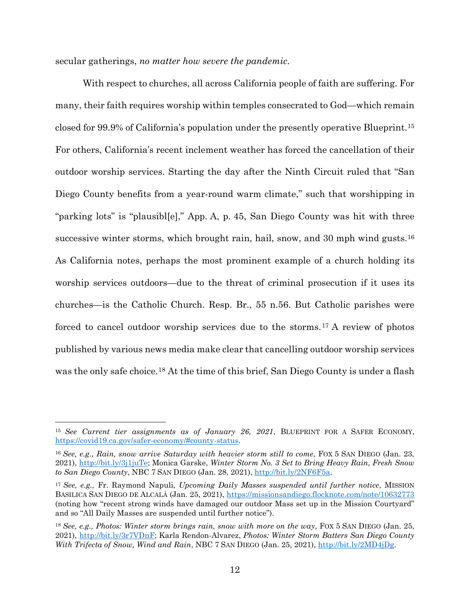secular gatherings, *no matter how severe the pandemic*.

With respect to churches, all across California people of faith are suffering. For many, their faith requires worship within temples consecrated to God—which remain closed for 99.9% of California's population under the presently operative Blueprint.[15](#page-15-0) For others, California's recent inclement weather has forced the cancellation of their outdoor worship services. Starting the day after the Ninth Circuit ruled that "San Diego County benefits from a year-round warm climate," such that worshipping in "parking lots" is "plausibl[e]," App. A, p. 45, San Diego County was hit with three successive winter storms, which brought rain, hail, snow, and 30 mph wind gusts.[16](#page-15-1) As California notes, perhaps the most prominent example of a church holding its worship services outdoors—due to the threat of criminal prosecution if it uses its churches—is the Catholic Church. Resp. Br., 55 n.56. But Catholic parishes were forced to cancel outdoor worship services due to the storms.[17](#page-15-2) A review of photos published by various news media make clear that cancelling outdoor worship services was the only safe choice.<sup>[18](#page-15-3)</sup> At the time of this brief, San Diego County is under a flash

<span id="page-15-0"></span><sup>15</sup> *See Current tier assignments as of January 26, 2021*, BLUEPRINT FOR A SAFER ECONOMY, https://covid19.ca.gov/safer-economy/#county-status.

<span id="page-15-1"></span><sup>16</sup> *See, e.g., Rain, snow arrive Saturday with heavier storm still to come*, FOX 5 SAN DIEGO (Jan. 23, 2021), http://bit.ly/3j1juTe; Monica Garske, *Winter Storm No. 3 Set to Bring Heavy Rain, Fresh Snow to San Diego County*, NBC 7 SAN DIEGO (Jan. 28, 2021), http://bit.ly/2NF6F5a.

<span id="page-15-2"></span><sup>17</sup> *See, e.g.,* Fr. Raymond Napuli, *Upcoming Daily Masses suspended until further notice*, MISSION BASILICA SAN DIEGO DE ALCALÁ (Jan. 25, 2021), https://missionsandiego.flocknote.com/note/10632773 (noting how "recent strong winds have damaged our outdoor Mass set up in the Mission Courtyard" and so "All Daily Masses are suspended until further notice").

<span id="page-15-3"></span><sup>18</sup> *See, e.g., Photos: Winter storm brings rain, snow with more on the way*, FOX 5 SAN DIEGO (Jan. 25, 2021), http://bit.ly/3r7VDnF; Karla Rendon-Alvarez, *Photos: Winter Storm Batters San Diego County With Trifecta of Snow, Wind and Rain*, NBC 7 SAN DIEGO (Jan. 25, 2021), http://bit.ly/2MD4jDg.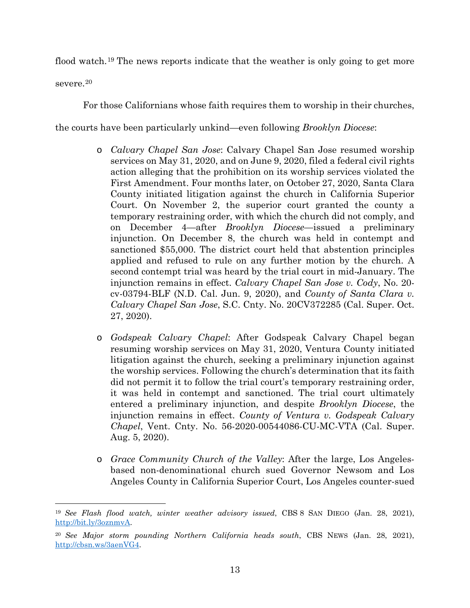flood watch.[19](#page-16-0) The news reports indicate that the weather is only going to get more

severe.[20](#page-16-1)

For those Californians whose faith requires them to worship in their churches,

the courts have been particularly unkind—even following *Brooklyn Diocese*:

- o *Calvary Chapel San Jose*: Calvary Chapel San Jose resumed worship services on May 31, 2020, and on June 9, 2020, filed a federal civil rights action alleging that the prohibition on its worship services violated the First Amendment. Four months later, on October 27, 2020, Santa Clara County initiated litigation against the church in California Superior Court. On November 2, the superior court granted the county a temporary restraining order, with which the church did not comply, and on December 4—after *Brooklyn Diocese*—issued a preliminary injunction. On December 8, the church was held in contempt and sanctioned \$55,000. The district court held that abstention principles applied and refused to rule on any further motion by the church. A second contempt trial was heard by the trial court in mid-January. The injunction remains in effect. *Calvary Chapel San Jose v. Cody*, No. 20 cv-03794-BLF (N.D. Cal. Jun. 9, 2020), and *County of Santa Clara v. Calvary Chapel San Jose*, S.C. Cnty. No. 20CV372285 (Cal. Super. Oct. 27, 2020).
- o *Godspeak Calvary Chapel*: After Godspeak Calvary Chapel began resuming worship services on May 31, 2020, Ventura County initiated litigation against the church, seeking a preliminary injunction against the worship services. Following the church's determination that its faith did not permit it to follow the trial court's temporary restraining order, it was held in contempt and sanctioned. The trial court ultimately entered a preliminary injunction, and despite *Brooklyn Diocese*, the injunction remains in effect. *County of Ventura v. Godspeak Calvary Chapel*, Vent. Cnty. No. 56-2020-00544086-CU-MC-VTA (Cal. Super. Aug. 5, 2020).
- o *Grace Community Church of the Valley*: After the large, Los Angelesbased non-denominational church sued Governor Newsom and Los Angeles County in California Superior Court, Los Angeles counter-sued

<span id="page-16-0"></span> $\overline{a}$ <sup>19</sup> *See Flash flood watch, winter weather advisory issued*, CBS 8 SAN DIEGO (Jan. 28, 2021), http://bit.ly/3oznmvA.

<span id="page-16-1"></span><sup>20</sup> *See Major storm pounding Northern California heads south*, CBS NEWS (Jan. 28, 2021), http://cbsn.ws/3aenVG4.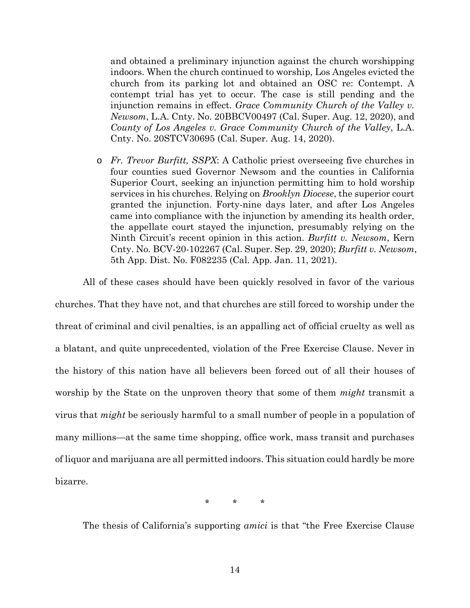and obtained a preliminary injunction against the church worshipping indoors. When the church continued to worship, Los Angeles evicted the church from its parking lot and obtained an OSC re: Contempt. A contempt trial has yet to occur. The case is still pending and the injunction remains in effect. *Grace Community Church of the Valley v. Newsom*, L.A. Cnty. No. 20BBCV00497 (Cal. Super. Aug. 12, 2020), and *County of Los Angeles v. Grace Community Church of the Valley*, L.A. Cnty. No. 20STCV30695 (Cal. Super. Aug. 14, 2020).

o *Fr. Trevor Burfitt, SSPX*: A Catholic priest overseeing five churches in four counties sued Governor Newsom and the counties in California Superior Court, seeking an injunction permitting him to hold worship services in his churches. Relying on *Brooklyn Diocese*, the superior court granted the injunction. Forty-nine days later, and after Los Angeles came into compliance with the injunction by amending its health order, the appellate court stayed the injunction, presumably relying on the Ninth Circuit's recent opinion in this action. *Burfitt v. Newsom*, Kern Cnty. No. BCV-20-102267 (Cal. Super. Sep. 29, 2020); *Burfitt v. Newsom*, 5th App. Dist. No. F082235 (Cal. App. Jan. 11, 2021).

All of these cases should have been quickly resolved in favor of the various churches. That they have not, and that churches are still forced to worship under the threat of criminal and civil penalties, is an appalling act of official cruelty as well as a blatant, and quite unprecedented, violation of the Free Exercise Clause. Never in the history of this nation have all believers been forced out of all their houses of worship by the State on the unproven theory that some of them *might* transmit a virus that *might* be seriously harmful to a small number of people in a population of many millions—at the same time shopping, office work, mass transit and purchases of liquor and marijuana are all permitted indoors. This situation could hardly be more

bizarre.

\* \* \*

The thesis of California's supporting *amici* is that "the Free Exercise Clause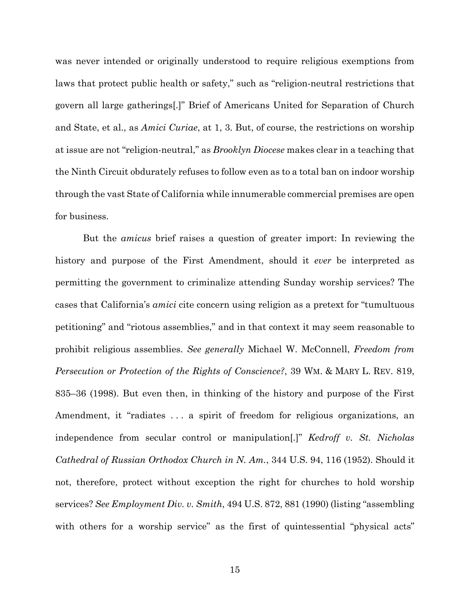was never intended or originally understood to require religious exemptions from laws that protect public health or safety," such as "religion-neutral restrictions that govern all large gatherings[.]" Brief of Americans United for Separation of Church and State, et al., as *Amici Curiae*, at 1, 3. But, of course, the restrictions on worship at issue are not "religion-neutral," as *Brooklyn Diocese* makes clear in a teaching that the Ninth Circuit obdurately refuses to follow even as to a total ban on indoor worship through the vast State of California while innumerable commercial premises are open for business.

But the *amicus* brief raises a question of greater import: In reviewing the history and purpose of the First Amendment, should it *ever* be interpreted as permitting the government to criminalize attending Sunday worship services? The cases that California's *amici* cite concern using religion as a pretext for "tumultuous petitioning" and "riotous assemblies," and in that context it may seem reasonable to prohibit religious assemblies. *See generally* Michael W. McConnell, *Freedom from Persecution or Protection of the Rights of Conscience?*, 39 WM. & MARY L. REV. 819, 835–36 (1998). But even then, in thinking of the history and purpose of the First Amendment, it "radiates . . . a spirit of freedom for religious organizations, an independence from secular control or manipulation[.]" *Kedroff v. St. Nicholas Cathedral of Russian Orthodox Church in N. Am.*, 344 U.S. 94, 116 (1952). Should it not, therefore, protect without exception the right for churches to hold worship services? *See Employment Div. v. Smith*, 494 U.S. 872, 881 (1990) (listing "assembling with others for a worship service" as the first of quintessential "physical acts"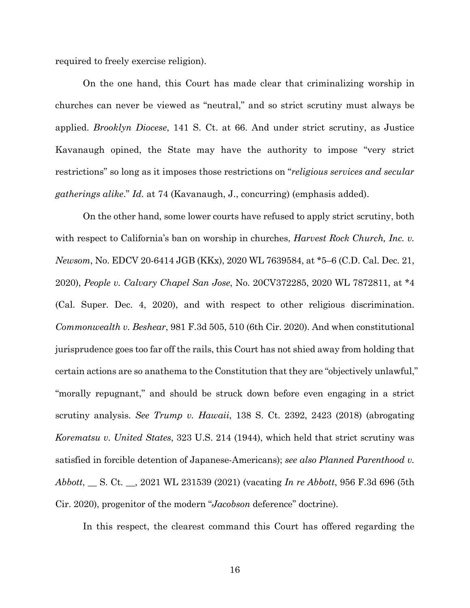required to freely exercise religion).

On the one hand, this Court has made clear that criminalizing worship in churches can never be viewed as "neutral," and so strict scrutiny must always be applied. *Brooklyn Diocese*, 141 S. Ct. at 66. And under strict scrutiny, as Justice Kavanaugh opined, the State may have the authority to impose "very strict restrictions" so long as it imposes those restrictions on "*religious services and secular gatherings alike*." *Id.* at 74 (Kavanaugh, J., concurring) (emphasis added).

On the other hand, some lower courts have refused to apply strict scrutiny, both with respect to California's ban on worship in churches, *Harvest Rock Church*, *Inc. v. Newsom*, No. EDCV 20-6414 JGB (KKx), 2020 WL 7639584, at \*5–6 (C.D. Cal. Dec. 21, 2020), *People v. Calvary Chapel San Jose*, No. 20CV372285, 2020 WL 7872811, at \*4 (Cal. Super. Dec. 4, 2020), and with respect to other religious discrimination. *Commonwealth v. Beshear*, 981 F.3d 505, 510 (6th Cir. 2020). And when constitutional jurisprudence goes too far off the rails, this Court has not shied away from holding that certain actions are so anathema to the Constitution that they are "objectively unlawful," "morally repugnant," and should be struck down before even engaging in a strict scrutiny analysis. *See Trump v. Hawaii*, 138 S. Ct. 2392, 2423 (2018) (abrogating *Korematsu v. United States*, 323 U.S. 214 (1944), which held that strict scrutiny was satisfied in forcible detention of Japanese-Americans); *see also Planned Parenthood v. Abbott*, \_\_ S. Ct. \_\_, 2021 WL 231539 (2021) (vacating *In re Abbott*, 956 F.3d 696 (5th Cir. 2020), progenitor of the modern "*Jacobson* deference" doctrine).

In this respect, the clearest command this Court has offered regarding the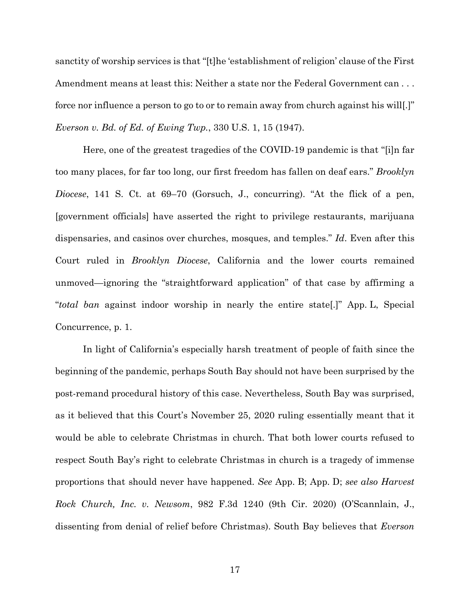sanctity of worship services is that "[t]he 'establishment of religion' clause of the First Amendment means at least this: Neither a state nor the Federal Government can . . . force nor influence a person to go to or to remain away from church against his will[.]" *Everson v. Bd. of Ed. of Ewing Twp.*, 330 U.S. 1, 15 (1947).

Here, one of the greatest tragedies of the COVID-19 pandemic is that "[i]n far too many places, for far too long, our first freedom has fallen on deaf ears." *Brooklyn Diocese*, 141 S. Ct. at 69–70 (Gorsuch, J., concurring). "At the flick of a pen, [government officials] have asserted the right to privilege restaurants, marijuana dispensaries, and casinos over churches, mosques, and temples." *Id*. Even after this Court ruled in *Brooklyn Diocese*, California and the lower courts remained unmoved—ignoring the "straightforward application" of that case by affirming a "*total ban* against indoor worship in nearly the entire state[.]" App. L, Special Concurrence, p. 1.

In light of California's especially harsh treatment of people of faith since the beginning of the pandemic, perhaps South Bay should not have been surprised by the post-remand procedural history of this case. Nevertheless, South Bay was surprised, as it believed that this Court's November 25, 2020 ruling essentially meant that it would be able to celebrate Christmas in church. That both lower courts refused to respect South Bay's right to celebrate Christmas in church is a tragedy of immense proportions that should never have happened. *See* App. B; App. D; *see also Harvest Rock Church, Inc. v. Newsom*, 982 F.3d 1240 (9th Cir. 2020) (O'Scannlain, J., dissenting from denial of relief before Christmas). South Bay believes that *Everson*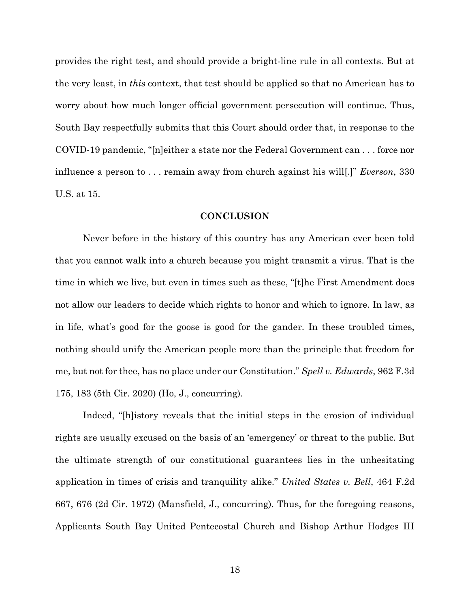provides the right test, and should provide a bright-line rule in all contexts. But at the very least, in *this* context, that test should be applied so that no American has to worry about how much longer official government persecution will continue. Thus, South Bay respectfully submits that this Court should order that, in response to the COVID-19 pandemic, "[n]either a state nor the Federal Government can . . . force nor influence a person to . . . remain away from church against his will[.]" *Everson*, 330 U.S. at 15.

#### **CONCLUSION**

Never before in the history of this country has any American ever been told that you cannot walk into a church because you might transmit a virus. That is the time in which we live, but even in times such as these, "[t]he First Amendment does not allow our leaders to decide which rights to honor and which to ignore. In law, as in life, what's good for the goose is good for the gander. In these troubled times, nothing should unify the American people more than the principle that freedom for me, but not for thee, has no place under our Constitution." *Spell v. Edwards*, 962 F.3d 175, 183 (5th Cir. 2020) (Ho, J., concurring).

Indeed, "[h]istory reveals that the initial steps in the erosion of individual rights are usually excused on the basis of an 'emergency' or threat to the public. But the ultimate strength of our constitutional guarantees lies in the unhesitating application in times of crisis and tranquility alike." *United States v. Bell*, 464 F.2d 667, 676 (2d Cir. 1972) (Mansfield, J., concurring). Thus, for the foregoing reasons, Applicants South Bay United Pentecostal Church and Bishop Arthur Hodges III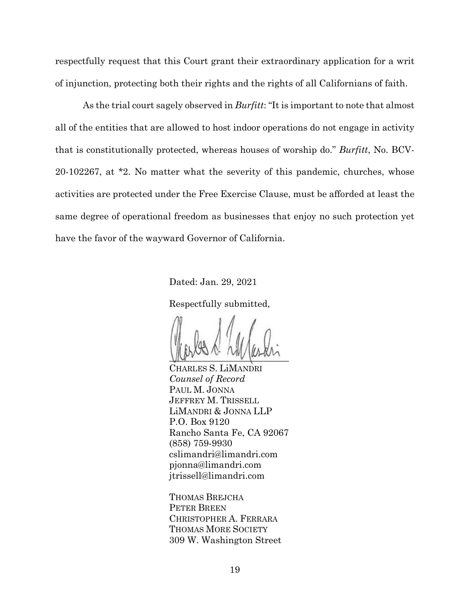respectfully request that this Court grant their extraordinary application for a writ of injunction, protecting both their rights and the rights of all Californians of faith.

As the trial court sagely observed in *Burfitt*: "It is important to note that almost all of the entities that are allowed to host indoor operations do not engage in activity that is constitutionally protected, whereas houses of worship do." *Burfitt*, No. BCV-20-102267, at \*2. No matter what the severity of this pandemic, churches, whose activities are protected under the Free Exercise Clause, must be afforded at least the same degree of operational freedom as businesses that enjoy no such protection yet have the favor of the wayward Governor of California.

Dated: Jan. 29, 2021

Respectfully submitted,

 $M_{\rm W}$  ,  $\sim$  ,  $M_{\rm W}$  ,  $M_{\rm W}$ 

CHARLES S. LiMANDRI *Counsel of Record* PAUL M. JONNA JEFFREY M. TRISSELL LiMANDRI & JONNA LLP P.O. Box 9120 Rancho Santa Fe, CA 92067 (858) 759-9930 cslimandri@limandri.com pjonna@limandri.com jtrissell@limandri.com

THOMAS BREJCHA PETER BREEN CHRISTOPHER A. FERRARA THOMAS MORE SOCIETY 309 W. Washington Street